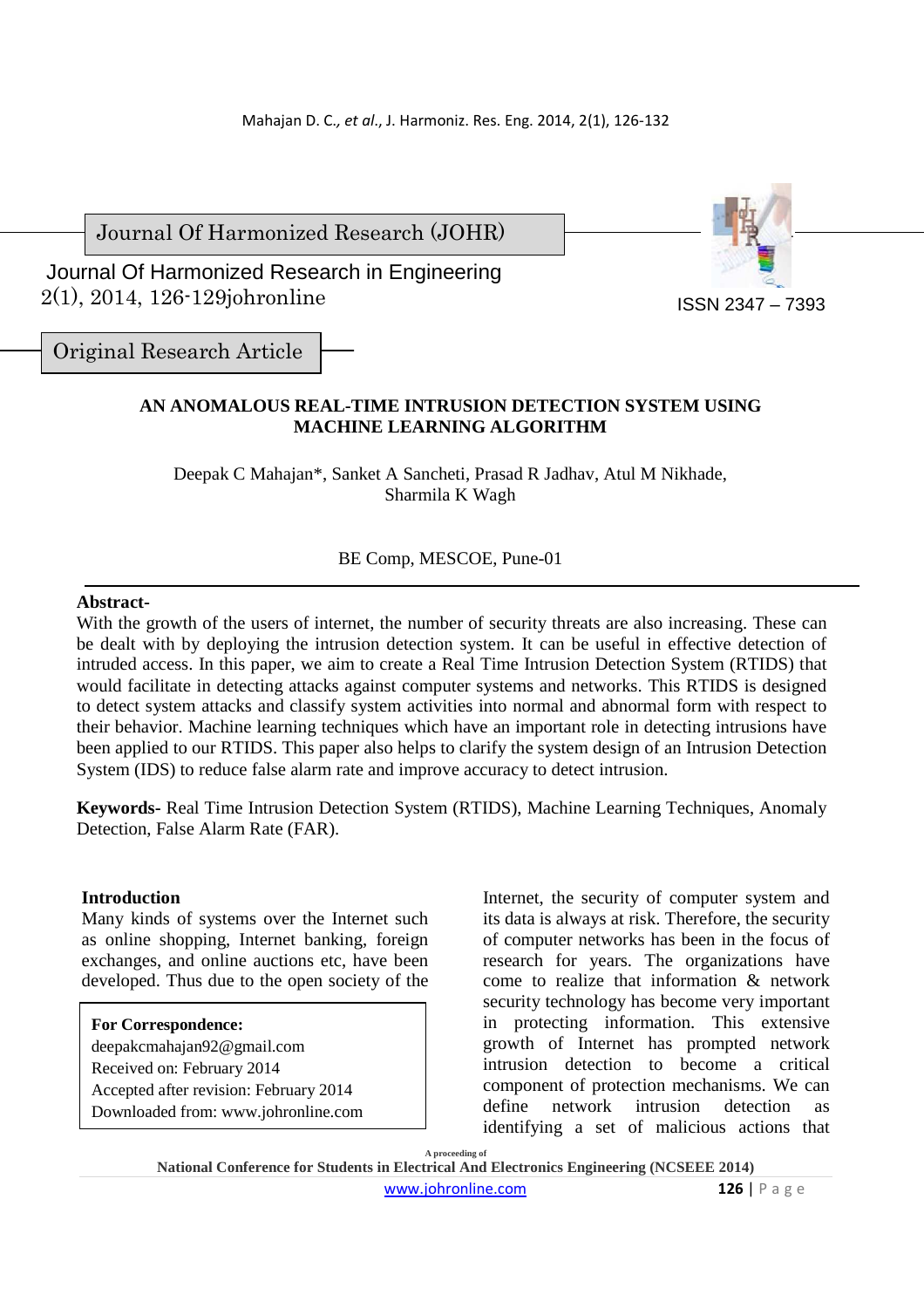Journal Of Harmonized Research (JOHR)

 2(1), 2014, 126-129johronline Journal Of Harmonized Research in Engineering



Original Research Article

# **AN ANOMALOUS REAL-TIME INTRUSION DETECTION SYSTEM USING MACHINE LEARNING ALGORITHM**

Deepak C Mahajan\*, Sanket A Sancheti, Prasad R Jadhav, Atul M Nikhade, Sharmila K Wagh

# BE Comp, MESCOE, Pune-01

## **Abstract-**

With the growth of the users of internet, the number of security threats are also increasing. These can be dealt with by deploying the intrusion detection system. It can be useful in effective detection of intruded access. In this paper, we aim to create a Real Time Intrusion Detection System (RTIDS) that would facilitate in detecting attacks against computer systems and networks. This RTIDS is designed to detect system attacks and classify system activities into normal and abnormal form with respect to their behavior. Machine learning techniques which have an important role in detecting intrusions have been applied to our RTIDS. This paper also helps to clarify the system design of an Intrusion Detection System (IDS) to reduce false alarm rate and improve accuracy to detect intrusion.

**Keywords-** Real Time Intrusion Detection System (RTIDS), Machine Learning Techniques, Anomaly Detection, False Alarm Rate (FAR).

## **Introduction**

Many kinds of systems over the Internet such as online shopping, Internet banking, foreign exchanges, and online auctions etc, have been developed. Thus due to the open society of the

#### **For Correspondence:**

deepakcmahajan92@gmail.com Received on: February 2014 Accepted after revision: February 2014 Downloaded from: www.johronline.com

Internet, the security of computer system and its data is always at risk. Therefore, the security of computer networks has been in the focus of research for years. The organizations have come to realize that information & network security technology has become very important in protecting information. This extensive growth of Internet has prompted network intrusion detection to become a critical component of protection mechanisms. We can define network intrusion detection as identifying a set of malicious actions that

**A proceeding of National Conference for Students in Electrical And Electronics Engineering (NCSEEE 2014)**  www.johronline.com **126** | P a g e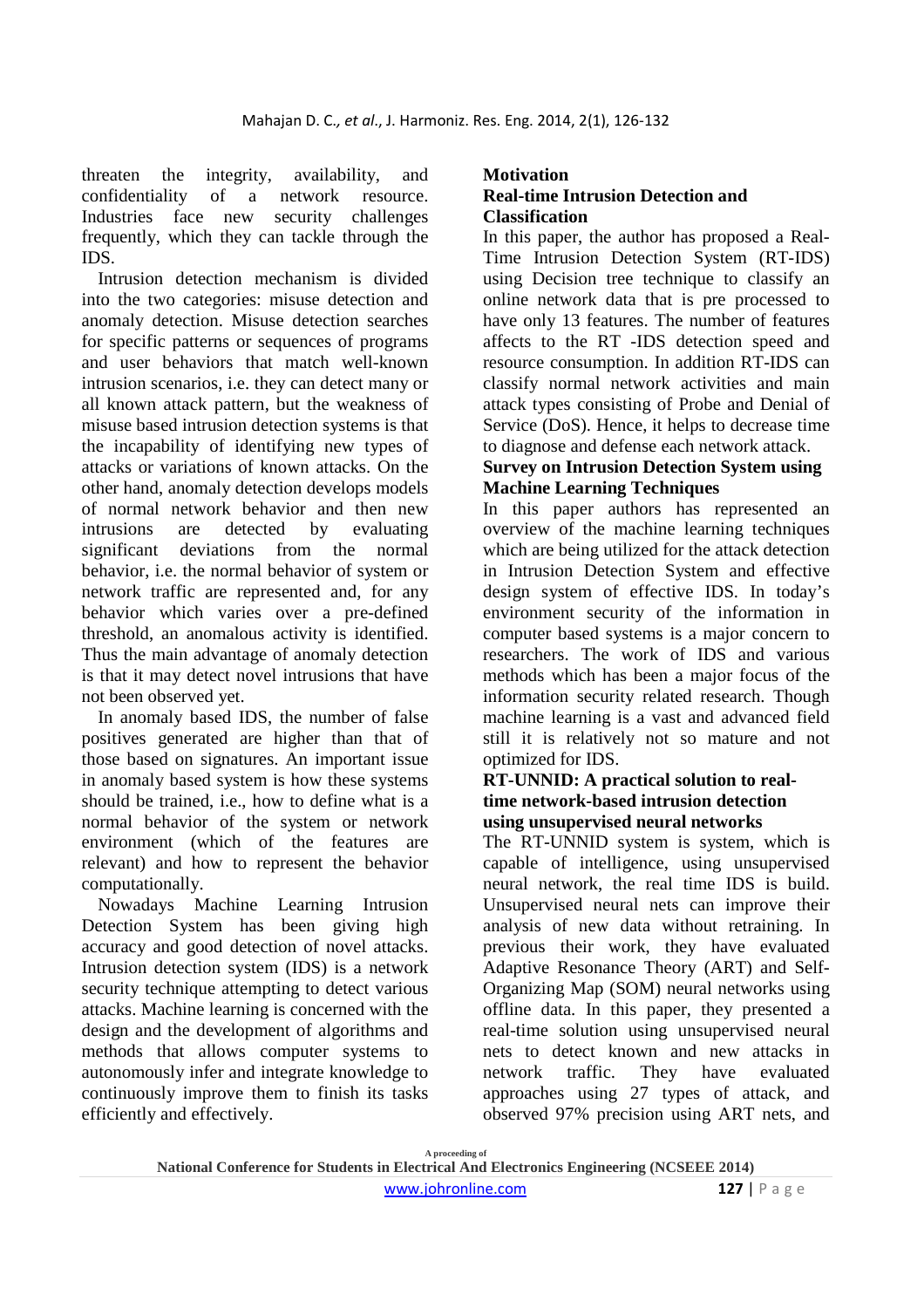threaten the integrity, availability, and confidentiality of a network resource. Industries face new security challenges frequently, which they can tackle through the IDS.

Intrusion detection mechanism is divided into the two categories: misuse detection and anomaly detection. Misuse detection searches for specific patterns or sequences of programs and user behaviors that match well-known intrusion scenarios, i.e. they can detect many or all known attack pattern, but the weakness of misuse based intrusion detection systems is that the incapability of identifying new types of attacks or variations of known attacks. On the other hand, anomaly detection develops models of normal network behavior and then new intrusions are detected by evaluating significant deviations from the normal behavior, i.e. the normal behavior of system or network traffic are represented and, for any behavior which varies over a pre-defined threshold, an anomalous activity is identified. Thus the main advantage of anomaly detection is that it may detect novel intrusions that have not been observed yet.

In anomaly based IDS, the number of false positives generated are higher than that of those based on signatures. An important issue in anomaly based system is how these systems should be trained, i.e., how to define what is a normal behavior of the system or network environment (which of the features are relevant) and how to represent the behavior computationally.

Nowadays Machine Learning Intrusion Detection System has been giving high accuracy and good detection of novel attacks. Intrusion detection system (IDS) is a network security technique attempting to detect various attacks. Machine learning is concerned with the design and the development of algorithms and methods that allows computer systems to autonomously infer and integrate knowledge to continuously improve them to finish its tasks efficiently and effectively.

# **Motivation**

# **Real-time Intrusion Detection and Classification**

In this paper, the author has proposed a Real-Time Intrusion Detection System (RT-IDS) using Decision tree technique to classify an online network data that is pre processed to have only 13 features. The number of features affects to the RT -IDS detection speed and resource consumption. In addition RT-IDS can classify normal network activities and main attack types consisting of Probe and Denial of Service (DoS). Hence, it helps to decrease time to diagnose and defense each network attack.

## **Survey on Intrusion Detection System using Machine Learning Techniques**

In this paper authors has represented an overview of the machine learning techniques which are being utilized for the attack detection in Intrusion Detection System and effective design system of effective IDS. In today's environment security of the information in computer based systems is a major concern to researchers. The work of IDS and various methods which has been a major focus of the information security related research. Though machine learning is a vast and advanced field still it is relatively not so mature and not optimized for IDS.

### **RT-UNNID: A practical solution to realtime network-based intrusion detection using unsupervised neural networks**

The RT-UNNID system is system, which is capable of intelligence, using unsupervised neural network, the real time IDS is build. Unsupervised neural nets can improve their analysis of new data without retraining. In previous their work, they have evaluated Adaptive Resonance Theory (ART) and Self-Organizing Map (SOM) neural networks using offline data. In this paper, they presented a real-time solution using unsupervised neural nets to detect known and new attacks in network traffic. They have evaluated approaches using 27 types of attack, and observed 97% precision using ART nets, and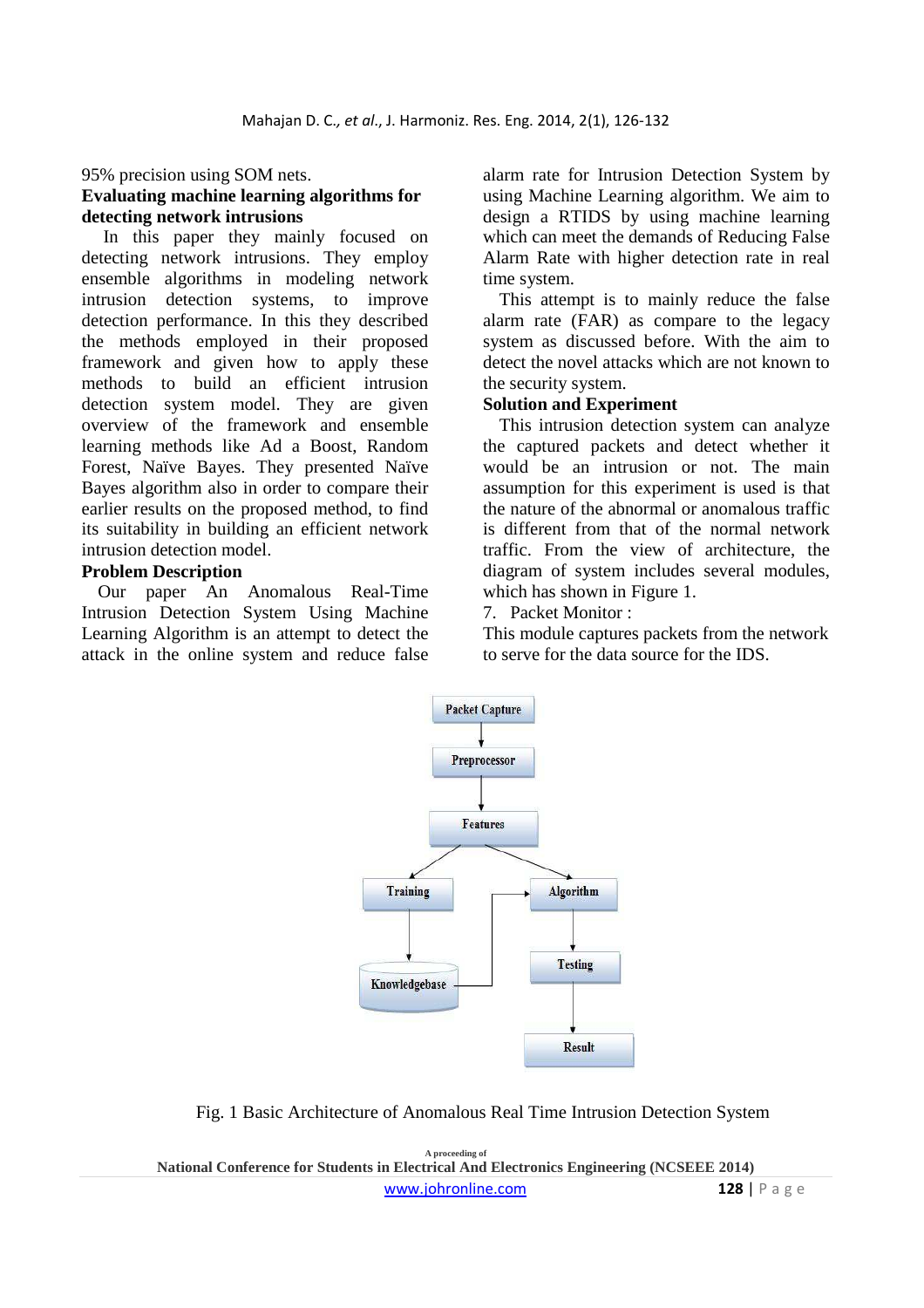95% precision using SOM nets.

### **Evaluating machine learning algorithms for detecting network intrusions**

In this paper they mainly focused on detecting network intrusions. They employ ensemble algorithms in modeling network intrusion detection systems, to improve detection performance. In this they described the methods employed in their proposed framework and given how to apply these methods to build an efficient intrusion detection system model. They are given overview of the framework and ensemble learning methods like Ad a Boost, Random Forest, Naïve Bayes. They presented Naïve Bayes algorithm also in order to compare their earlier results on the proposed method, to find its suitability in building an efficient network intrusion detection model.

#### **Problem Description**

Our paper An Anomalous Real-Time Intrusion Detection System Using Machine Learning Algorithm is an attempt to detect the attack in the online system and reduce false alarm rate for Intrusion Detection System by using Machine Learning algorithm. We aim to design a RTIDS by using machine learning which can meet the demands of Reducing False Alarm Rate with higher detection rate in real time system.

This attempt is to mainly reduce the false alarm rate (FAR) as compare to the legacy system as discussed before. With the aim to detect the novel attacks which are not known to the security system.

## **Solution and Experiment**

This intrusion detection system can analyze the captured packets and detect whether it would be an intrusion or not. The main assumption for this experiment is used is that the nature of the abnormal or anomalous traffic is different from that of the normal network traffic. From the view of architecture, the diagram of system includes several modules, which has shown in Figure 1.

7. Packet Monitor :

This module captures packets from the network to serve for the data source for the IDS.



Fig. 1 Basic Architecture of Anomalous Real Time Intrusion Detection System

**A proceeding of National Conference for Students in Electrical And Electronics Engineering (NCSEEE 2014)**  www.johronline.com **128** | P a g e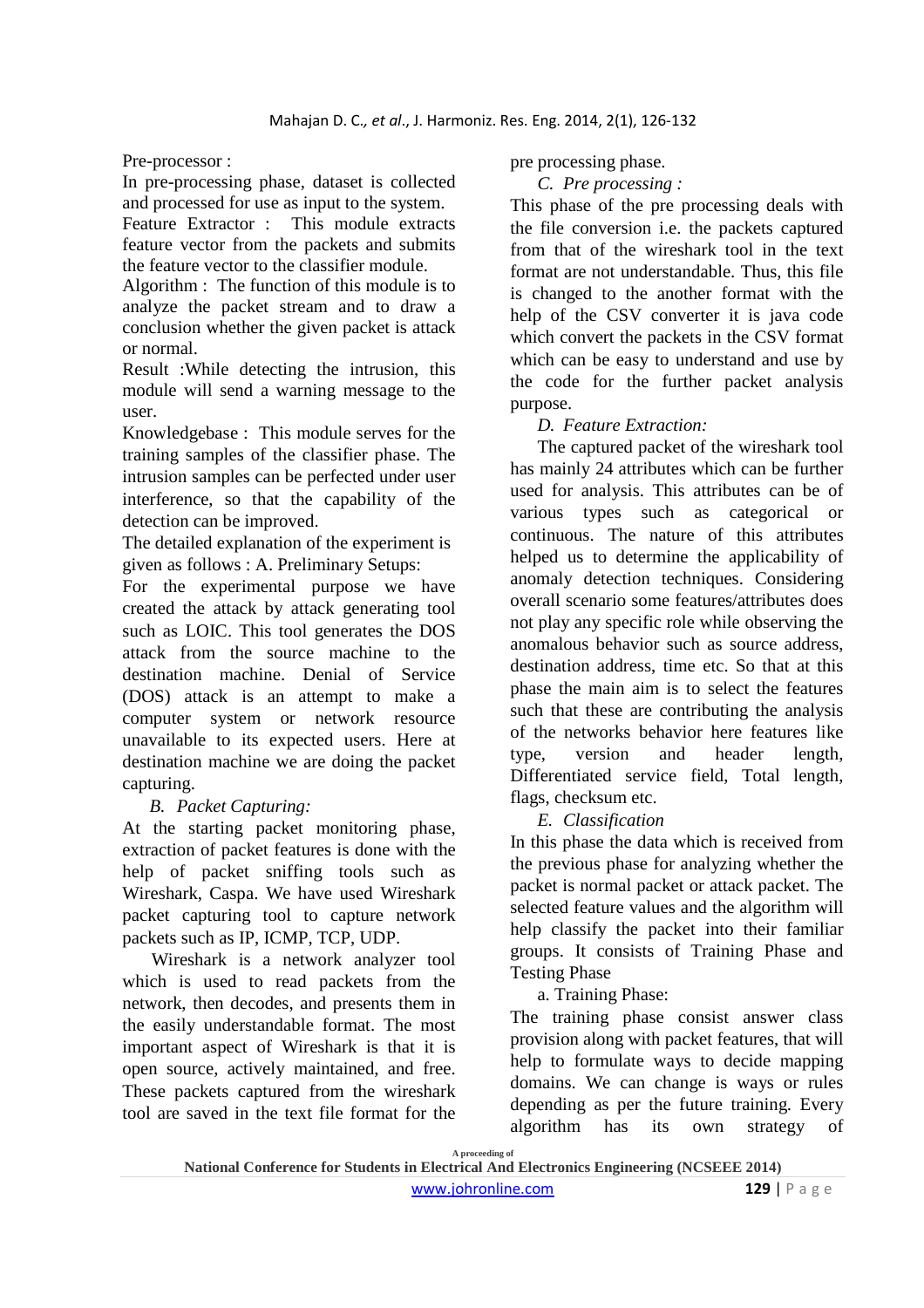Pre-processor :

In pre-processing phase, dataset is collected and processed for use as input to the system.

Feature Extractor : This module extracts feature vector from the packets and submits the feature vector to the classifier module.

Algorithm : The function of this module is to analyze the packet stream and to draw a conclusion whether the given packet is attack or normal.

Result :While detecting the intrusion, this module will send a warning message to the user.

Knowledgebase : This module serves for the training samples of the classifier phase. The intrusion samples can be perfected under user interference, so that the capability of the detection can be improved.

The detailed explanation of the experiment is given as follows : A. Preliminary Setups:

For the experimental purpose we have created the attack by attack generating tool such as LOIC. This tool generates the DOS attack from the source machine to the destination machine. Denial of Service (DOS) attack is an attempt to make a computer system or network resource unavailable to its expected users. Here at destination machine we are doing the packet capturing.

# *B. Packet Capturing:*

At the starting packet monitoring phase, extraction of packet features is done with the help of packet sniffing tools such as Wireshark, Caspa. We have used Wireshark packet capturing tool to capture network packets such as IP, ICMP, TCP, UDP.

Wireshark is a network analyzer tool which is used to read packets from the network, then decodes, and presents them in the easily understandable format. The most important aspect of Wireshark is that it is open source, actively maintained, and free. These packets captured from the wireshark tool are saved in the text file format for the pre processing phase.

*C. Pre processing :*

This phase of the pre processing deals with the file conversion i.e. the packets captured from that of the wireshark tool in the text format are not understandable. Thus, this file is changed to the another format with the help of the CSV converter it is java code which convert the packets in the CSV format which can be easy to understand and use by the code for the further packet analysis purpose.

# *D. Feature Extraction:*

The captured packet of the wireshark tool has mainly 24 attributes which can be further used for analysis. This attributes can be of various types such as categorical or continuous. The nature of this attributes helped us to determine the applicability of anomaly detection techniques. Considering overall scenario some features/attributes does not play any specific role while observing the anomalous behavior such as source address, destination address, time etc. So that at this phase the main aim is to select the features such that these are contributing the analysis of the networks behavior here features like type, version and header length, Differentiated service field, Total length, flags, checksum etc.

*E. Classification*

In this phase the data which is received from the previous phase for analyzing whether the packet is normal packet or attack packet. The selected feature values and the algorithm will help classify the packet into their familiar groups. It consists of Training Phase and Testing Phase

a. Training Phase:

The training phase consist answer class provision along with packet features, that will help to formulate ways to decide mapping domains. We can change is ways or rules depending as per the future training. Every algorithm has its own strategy of

**A proceeding of**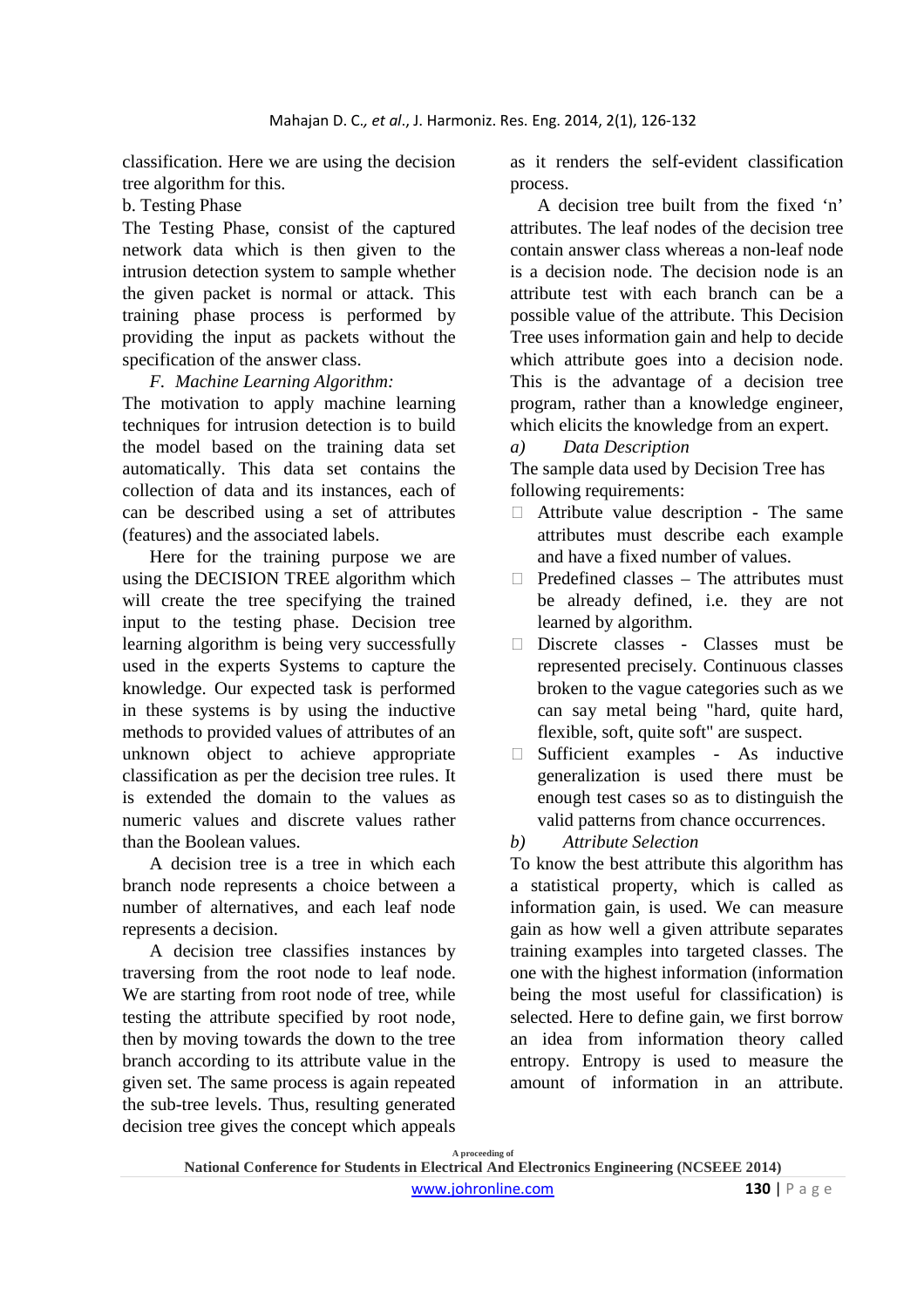classification. Here we are using the decision tree algorithm for this.

### b. Testing Phase

The Testing Phase, consist of the captured network data which is then given to the intrusion detection system to sample whether the given packet is normal or attack. This training phase process is performed by providing the input as packets without the specification of the answer class.

*F. Machine Learning Algorithm:*

The motivation to apply machine learning techniques for intrusion detection is to build the model based on the training data set automatically. This data set contains the collection of data and its instances, each of can be described using a set of attributes (features) and the associated labels.

Here for the training purpose we are using the DECISION TREE algorithm which will create the tree specifying the trained input to the testing phase. Decision tree learning algorithm is being very successfully used in the experts Systems to capture the knowledge. Our expected task is performed in these systems is by using the inductive methods to provided values of attributes of an unknown object to achieve appropriate classification as per the decision tree rules. It is extended the domain to the values as numeric values and discrete values rather than the Boolean values.

A decision tree is a tree in which each branch node represents a choice between a number of alternatives, and each leaf node represents a decision.

A decision tree classifies instances by traversing from the root node to leaf node. We are starting from root node of tree, while testing the attribute specified by root node, then by moving towards the down to the tree branch according to its attribute value in the given set. The same process is again repeated the sub-tree levels. Thus, resulting generated decision tree gives the concept which appeals

as it renders the self-evident classification process.

A decision tree built from the fixed 'n' attributes. The leaf nodes of the decision tree contain answer class whereas a non-leaf node is a decision node. The decision node is an attribute test with each branch can be a possible value of the attribute. This Decision Tree uses information gain and help to decide which attribute goes into a decision node. This is the advantage of a decision tree program, rather than a knowledge engineer, which elicits the knowledge from an expert.

### *a) Data Description*

The sample data used by Decision Tree has following requirements:

- Attribute value description The same attributes must describe each example and have a fixed number of values.
- $\Box$  Predefined classes The attributes must be already defined, i.e. they are not learned by algorithm.
- Discrete classes Classes must be represented precisely. Continuous classes broken to the vague categories such as we can say metal being "hard, quite hard, flexible, soft, quite soft" are suspect.
- $\Box$  Sufficient examples As inductive generalization is used there must be enough test cases so as to distinguish the valid patterns from chance occurrences.
- *b) Attribute Selection*

To know the best attribute this algorithm has a statistical property, which is called as information gain, is used. We can measure gain as how well a given attribute separates training examples into targeted classes. The one with the highest information (information being the most useful for classification) is selected. Here to define gain, we first borrow an idea from information theory called entropy. Entropy is used to measure the amount of information in an attribute.

**A proceeding of**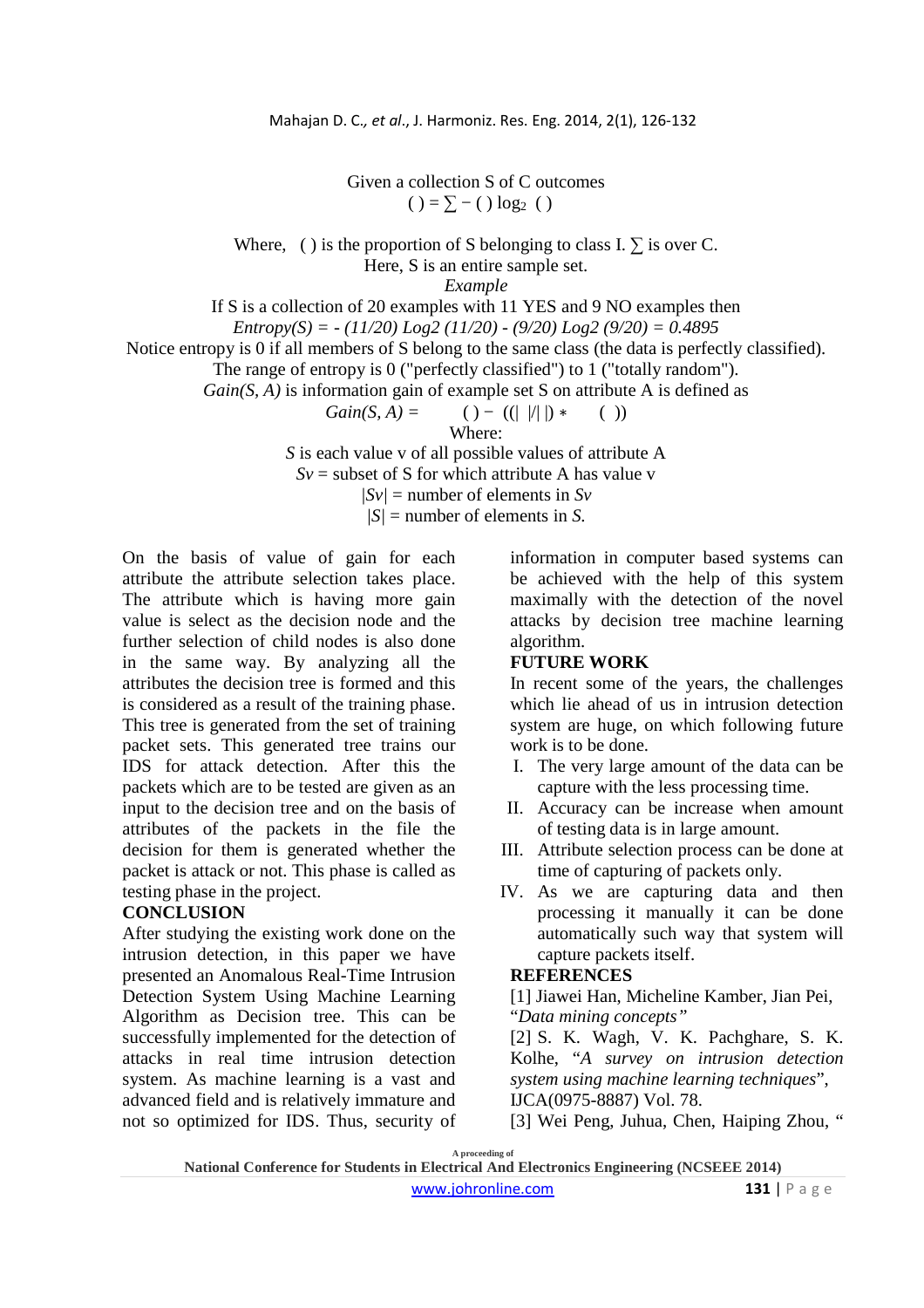Given a collection S of C outcomes  $() = \sum - () \log_2()$ 

Where, ( ) is the proportion of S belonging to class I.  $\Sigma$  is over C.

Here, S is an entire sample set.

*Example*

If S is a collection of 20 examples with 11 YES and 9 NO examples then

*Entropy(S) = - (11/20) Log2 (11/20) - (9/20) Log2 (9/20) = 0.4895*

Notice entropy is 0 if all members of S belong to the same class (the data is perfectly classified).

The range of entropy is 0 ("perfectly classified") to 1 ("totally random").

*Gain(S, A)* is information gain of example set S on attribute A is defined as

*Gain(S, A) =* ( ) − ((| |/| |) ∗ ( ))

Where:

*S* is each value v of all possible values of attribute A

 $Sv$  = subset of S for which attribute A has value v

 $|Sv|$  = number of elements in  $Sv$ 

 $|S|$  = number of elements in *S*.

On the basis of value of gain for each attribute the attribute selection takes place. The attribute which is having more gain value is select as the decision node and the further selection of child nodes is also done in the same way. By analyzing all the attributes the decision tree is formed and this is considered as a result of the training phase. This tree is generated from the set of training packet sets. This generated tree trains our IDS for attack detection. After this the packets which are to be tested are given as an input to the decision tree and on the basis of attributes of the packets in the file the decision for them is generated whether the packet is attack or not. This phase is called as testing phase in the project.

### **CONCLUSION**

After studying the existing work done on the intrusion detection, in this paper we have presented an Anomalous Real-Time Intrusion Detection System Using Machine Learning Algorithm as Decision tree. This can be successfully implemented for the detection of attacks in real time intrusion detection system. As machine learning is a vast and advanced field and is relatively immature and not so optimized for IDS. Thus, security of information in computer based systems can be achieved with the help of this system maximally with the detection of the novel attacks by decision tree machine learning algorithm.

## **FUTURE WORK**

In recent some of the years, the challenges which lie ahead of us in intrusion detection system are huge, on which following future work is to be done.

- I. The very large amount of the data can be capture with the less processing time.
- II. Accuracy can be increase when amount of testing data is in large amount.
- III. Attribute selection process can be done at time of capturing of packets only.
- IV. As we are capturing data and then processing it manually it can be done automatically such way that system will capture packets itself.

#### **REFERENCES**

[1] Jiawei Han, Micheline Kamber, Jian Pei, "*Data mining concepts"*

[2] S. K. Wagh, V. K. Pachghare, S. K. Kolhe, "*A survey on intrusion detection system using machine learning techniques*", IJCA(0975-8887) Vol. 78.

[3] Wei Peng, Juhua, Chen, Haiping Zhou, "

**A proceeding of** 

**National Conference for Students in Electrical And Electronics Engineering (NCSEEE 2014)**  www.johronline.com **131** | P a g e